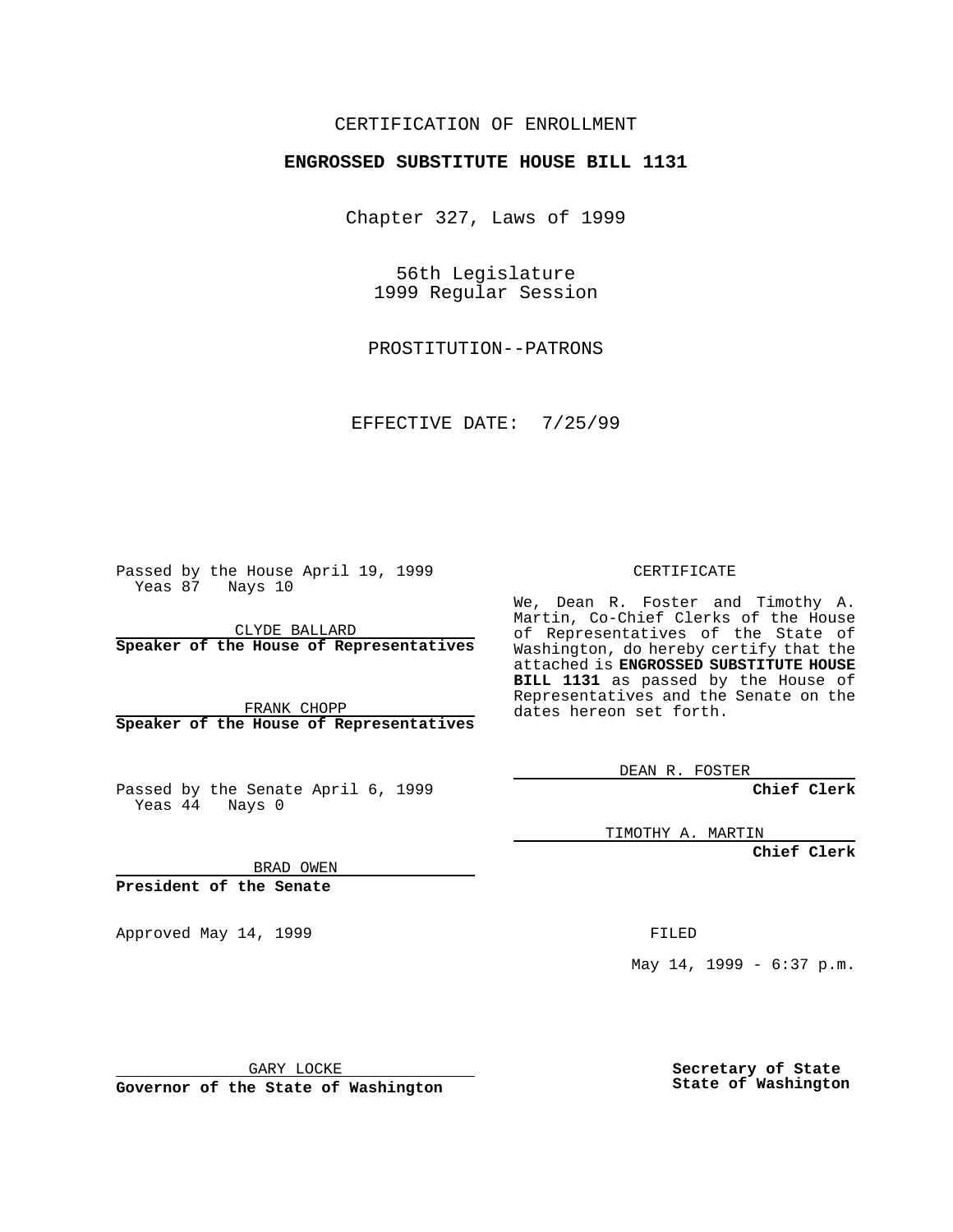#### CERTIFICATION OF ENROLLMENT

# **ENGROSSED SUBSTITUTE HOUSE BILL 1131**

Chapter 327, Laws of 1999

56th Legislature 1999 Regular Session

PROSTITUTION--PATRONS

EFFECTIVE DATE: 7/25/99

Passed by the House April 19, 1999 Yeas 87 Nays 10

CLYDE BALLARD **Speaker of the House of Representatives**

FRANK CHOPP **Speaker of the House of Representatives**

Passed by the Senate April 6, 1999 Yeas  $4\overline{4}$  Nays 0

CERTIFICATE

We, Dean R. Foster and Timothy A. Martin, Co-Chief Clerks of the House of Representatives of the State of Washington, do hereby certify that the attached is **ENGROSSED SUBSTITUTE HOUSE BILL 1131** as passed by the House of Representatives and the Senate on the dates hereon set forth.

DEAN R. FOSTER

**Chief Clerk**

TIMOTHY A. MARTIN

**Chief Clerk**

BRAD OWEN

**President of the Senate**

Approved May 14, 1999 **FILED** 

May 14, 1999 - 6:37 p.m.

GARY LOCKE

**Governor of the State of Washington**

**Secretary of State State of Washington**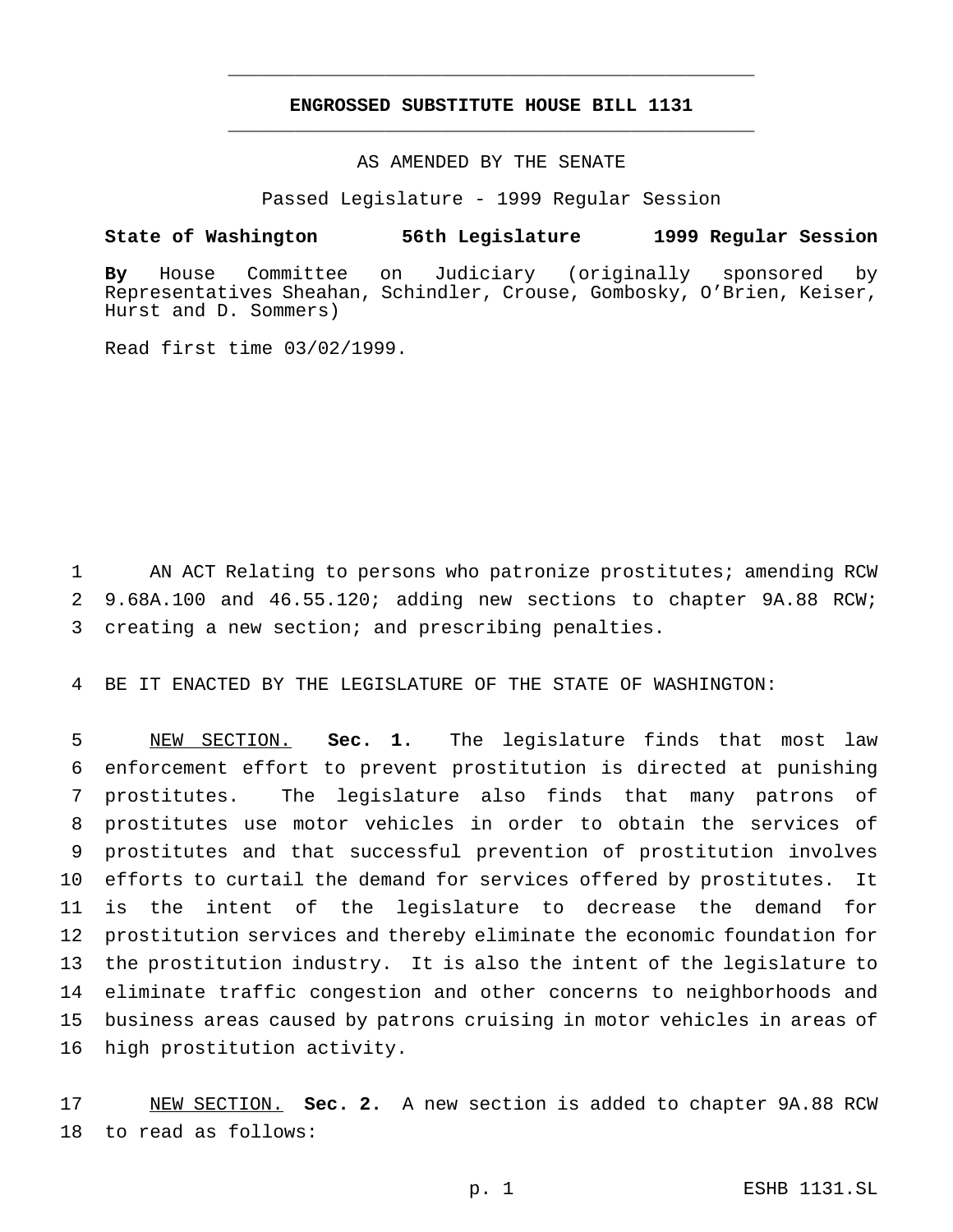## **ENGROSSED SUBSTITUTE HOUSE BILL 1131** \_\_\_\_\_\_\_\_\_\_\_\_\_\_\_\_\_\_\_\_\_\_\_\_\_\_\_\_\_\_\_\_\_\_\_\_\_\_\_\_\_\_\_\_\_\_\_

\_\_\_\_\_\_\_\_\_\_\_\_\_\_\_\_\_\_\_\_\_\_\_\_\_\_\_\_\_\_\_\_\_\_\_\_\_\_\_\_\_\_\_\_\_\_\_

### AS AMENDED BY THE SENATE

Passed Legislature - 1999 Regular Session

#### **State of Washington 56th Legislature 1999 Regular Session**

**By** House Committee on Judiciary (originally sponsored by Representatives Sheahan, Schindler, Crouse, Gombosky, O'Brien, Keiser, Hurst and D. Sommers)

Read first time 03/02/1999.

 AN ACT Relating to persons who patronize prostitutes; amending RCW 9.68A.100 and 46.55.120; adding new sections to chapter 9A.88 RCW; creating a new section; and prescribing penalties.

BE IT ENACTED BY THE LEGISLATURE OF THE STATE OF WASHINGTON:

 NEW SECTION. **Sec. 1.** The legislature finds that most law enforcement effort to prevent prostitution is directed at punishing prostitutes. The legislature also finds that many patrons of prostitutes use motor vehicles in order to obtain the services of prostitutes and that successful prevention of prostitution involves efforts to curtail the demand for services offered by prostitutes. It is the intent of the legislature to decrease the demand for prostitution services and thereby eliminate the economic foundation for the prostitution industry. It is also the intent of the legislature to eliminate traffic congestion and other concerns to neighborhoods and business areas caused by patrons cruising in motor vehicles in areas of high prostitution activity.

 NEW SECTION. **Sec. 2.** A new section is added to chapter 9A.88 RCW to read as follows: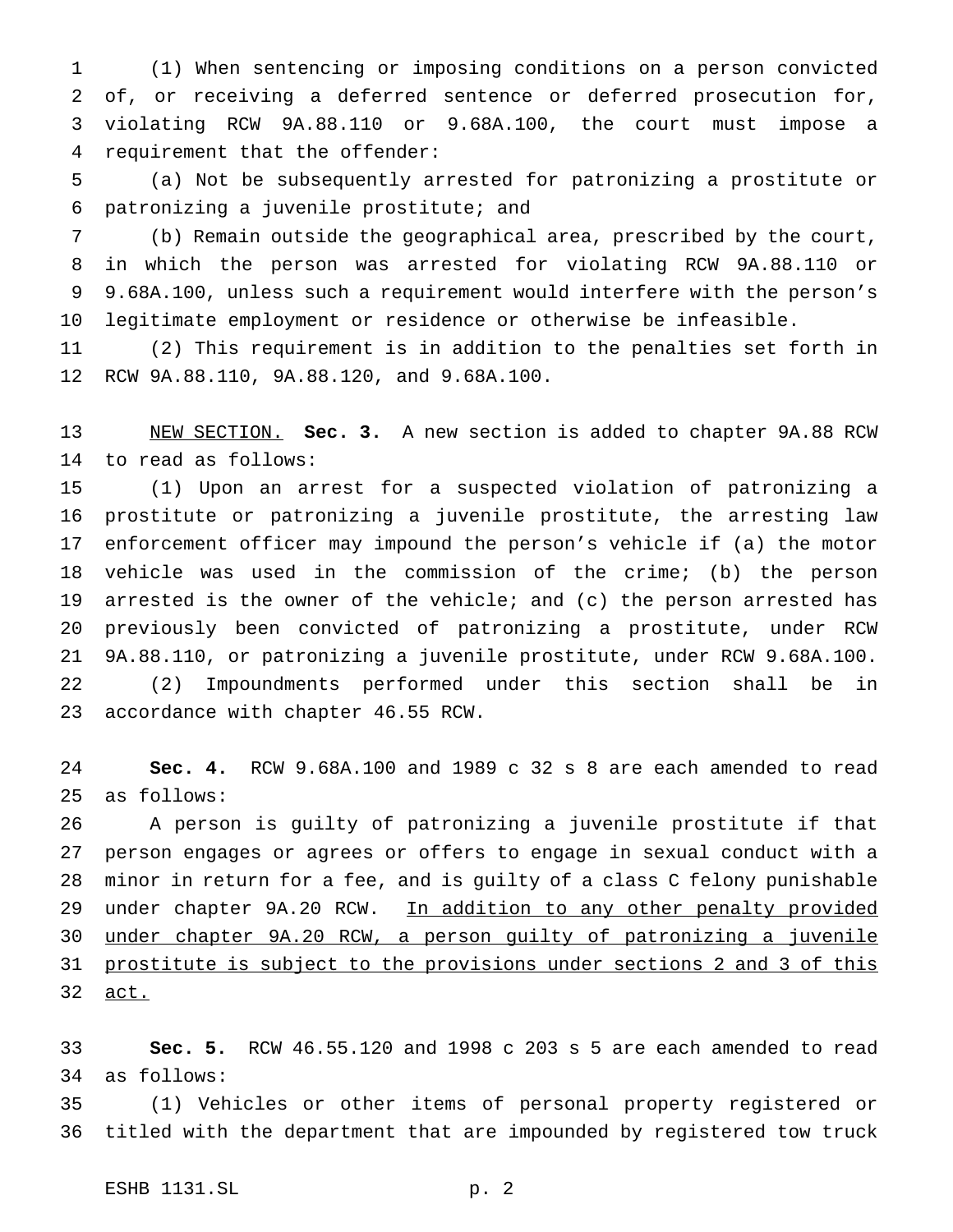(1) When sentencing or imposing conditions on a person convicted of, or receiving a deferred sentence or deferred prosecution for, violating RCW 9A.88.110 or 9.68A.100, the court must impose a requirement that the offender:

 (a) Not be subsequently arrested for patronizing a prostitute or patronizing a juvenile prostitute; and

 (b) Remain outside the geographical area, prescribed by the court, in which the person was arrested for violating RCW 9A.88.110 or 9.68A.100, unless such a requirement would interfere with the person's legitimate employment or residence or otherwise be infeasible.

 (2) This requirement is in addition to the penalties set forth in RCW 9A.88.110, 9A.88.120, and 9.68A.100.

 NEW SECTION. **Sec. 3.** A new section is added to chapter 9A.88 RCW to read as follows:

 (1) Upon an arrest for a suspected violation of patronizing a prostitute or patronizing a juvenile prostitute, the arresting law enforcement officer may impound the person's vehicle if (a) the motor vehicle was used in the commission of the crime; (b) the person arrested is the owner of the vehicle; and (c) the person arrested has previously been convicted of patronizing a prostitute, under RCW 9A.88.110, or patronizing a juvenile prostitute, under RCW 9.68A.100. (2) Impoundments performed under this section shall be in accordance with chapter 46.55 RCW.

 **Sec. 4.** RCW 9.68A.100 and 1989 c 32 s 8 are each amended to read as follows:

 A person is guilty of patronizing a juvenile prostitute if that person engages or agrees or offers to engage in sexual conduct with a minor in return for a fee, and is guilty of a class C felony punishable 29 under chapter 9A.20 RCW. In addition to any other penalty provided under chapter 9A.20 RCW, a person guilty of patronizing a juvenile prostitute is subject to the provisions under sections 2 and 3 of this act.

 **Sec. 5.** RCW 46.55.120 and 1998 c 203 s 5 are each amended to read as follows:

 (1) Vehicles or other items of personal property registered or titled with the department that are impounded by registered tow truck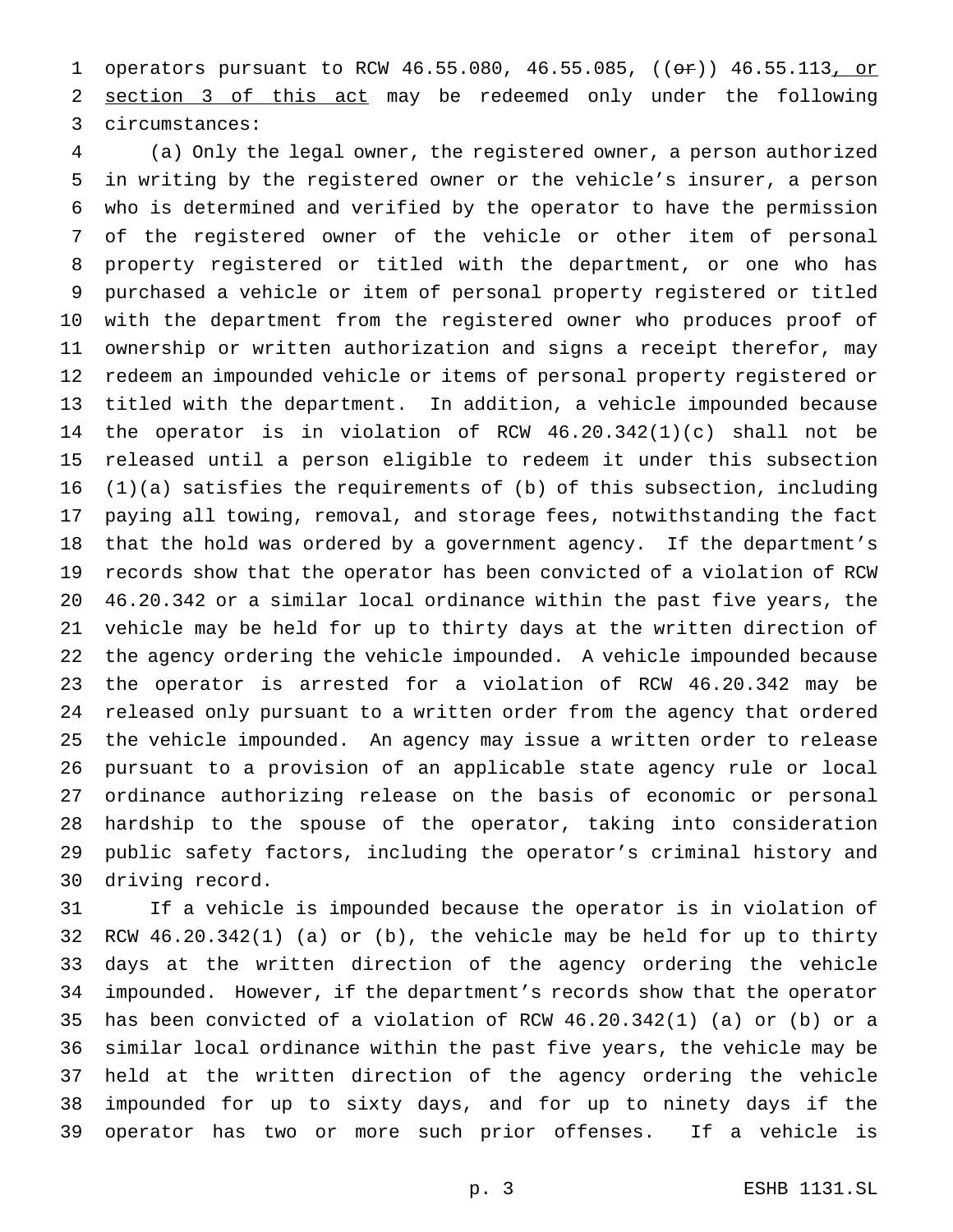1 operators pursuant to RCW 46.55.080, 46.55.085, ((or)) 46.55.113, or section 3 of this act may be redeemed only under the following circumstances:

 (a) Only the legal owner, the registered owner, a person authorized in writing by the registered owner or the vehicle's insurer, a person who is determined and verified by the operator to have the permission of the registered owner of the vehicle or other item of personal property registered or titled with the department, or one who has purchased a vehicle or item of personal property registered or titled with the department from the registered owner who produces proof of ownership or written authorization and signs a receipt therefor, may redeem an impounded vehicle or items of personal property registered or titled with the department. In addition, a vehicle impounded because the operator is in violation of RCW 46.20.342(1)(c) shall not be released until a person eligible to redeem it under this subsection  $(1)(a)$  satisfies the requirements of  $(b)$  of this subsection, including paying all towing, removal, and storage fees, notwithstanding the fact that the hold was ordered by a government agency. If the department's records show that the operator has been convicted of a violation of RCW 46.20.342 or a similar local ordinance within the past five years, the vehicle may be held for up to thirty days at the written direction of the agency ordering the vehicle impounded. A vehicle impounded because the operator is arrested for a violation of RCW 46.20.342 may be released only pursuant to a written order from the agency that ordered the vehicle impounded. An agency may issue a written order to release pursuant to a provision of an applicable state agency rule or local ordinance authorizing release on the basis of economic or personal hardship to the spouse of the operator, taking into consideration public safety factors, including the operator's criminal history and driving record.

 If a vehicle is impounded because the operator is in violation of RCW 46.20.342(1) (a) or (b), the vehicle may be held for up to thirty days at the written direction of the agency ordering the vehicle impounded. However, if the department's records show that the operator has been convicted of a violation of RCW 46.20.342(1) (a) or (b) or a similar local ordinance within the past five years, the vehicle may be held at the written direction of the agency ordering the vehicle impounded for up to sixty days, and for up to ninety days if the operator has two or more such prior offenses. If a vehicle is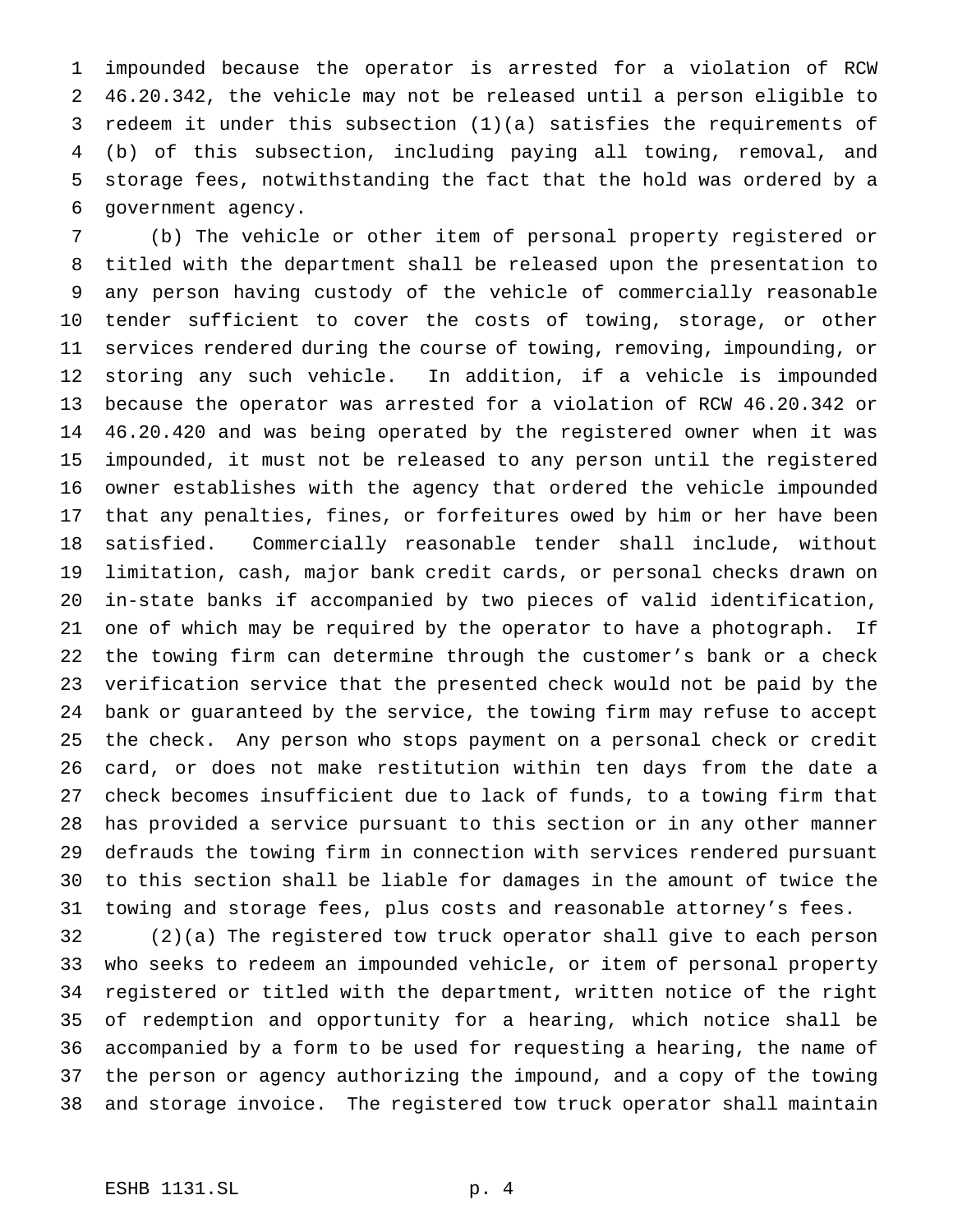impounded because the operator is arrested for a violation of RCW 46.20.342, the vehicle may not be released until a person eligible to redeem it under this subsection (1)(a) satisfies the requirements of (b) of this subsection, including paying all towing, removal, and storage fees, notwithstanding the fact that the hold was ordered by a government agency.

 (b) The vehicle or other item of personal property registered or titled with the department shall be released upon the presentation to any person having custody of the vehicle of commercially reasonable tender sufficient to cover the costs of towing, storage, or other services rendered during the course of towing, removing, impounding, or storing any such vehicle. In addition, if a vehicle is impounded because the operator was arrested for a violation of RCW 46.20.342 or 46.20.420 and was being operated by the registered owner when it was impounded, it must not be released to any person until the registered owner establishes with the agency that ordered the vehicle impounded that any penalties, fines, or forfeitures owed by him or her have been satisfied. Commercially reasonable tender shall include, without limitation, cash, major bank credit cards, or personal checks drawn on in-state banks if accompanied by two pieces of valid identification, one of which may be required by the operator to have a photograph. If the towing firm can determine through the customer's bank or a check verification service that the presented check would not be paid by the bank or guaranteed by the service, the towing firm may refuse to accept the check. Any person who stops payment on a personal check or credit card, or does not make restitution within ten days from the date a check becomes insufficient due to lack of funds, to a towing firm that has provided a service pursuant to this section or in any other manner defrauds the towing firm in connection with services rendered pursuant to this section shall be liable for damages in the amount of twice the towing and storage fees, plus costs and reasonable attorney's fees.

 (2)(a) The registered tow truck operator shall give to each person who seeks to redeem an impounded vehicle, or item of personal property registered or titled with the department, written notice of the right of redemption and opportunity for a hearing, which notice shall be accompanied by a form to be used for requesting a hearing, the name of the person or agency authorizing the impound, and a copy of the towing and storage invoice. The registered tow truck operator shall maintain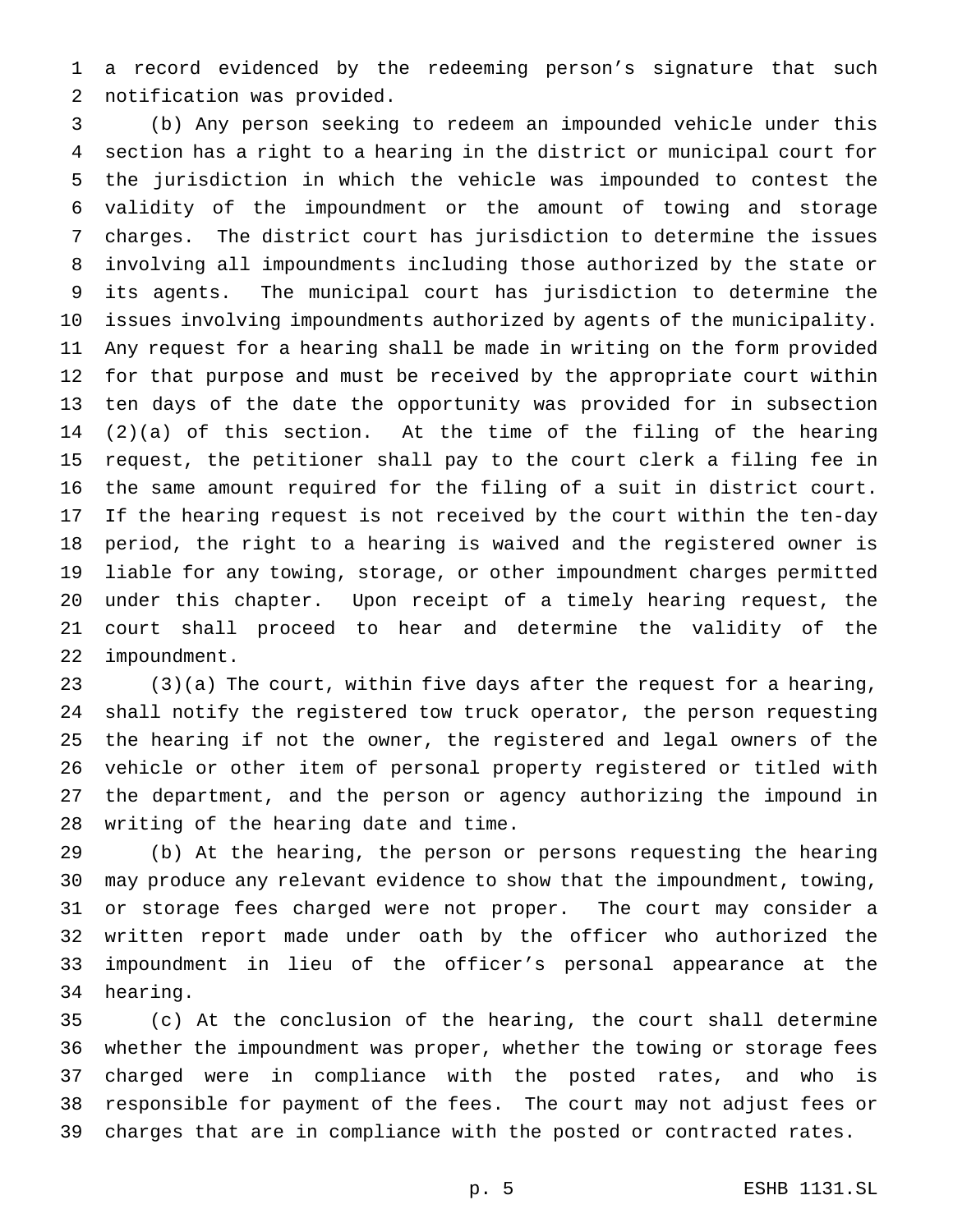a record evidenced by the redeeming person's signature that such notification was provided.

 (b) Any person seeking to redeem an impounded vehicle under this section has a right to a hearing in the district or municipal court for the jurisdiction in which the vehicle was impounded to contest the validity of the impoundment or the amount of towing and storage charges. The district court has jurisdiction to determine the issues involving all impoundments including those authorized by the state or its agents. The municipal court has jurisdiction to determine the issues involving impoundments authorized by agents of the municipality. Any request for a hearing shall be made in writing on the form provided for that purpose and must be received by the appropriate court within ten days of the date the opportunity was provided for in subsection (2)(a) of this section. At the time of the filing of the hearing request, the petitioner shall pay to the court clerk a filing fee in the same amount required for the filing of a suit in district court. If the hearing request is not received by the court within the ten-day period, the right to a hearing is waived and the registered owner is liable for any towing, storage, or other impoundment charges permitted under this chapter. Upon receipt of a timely hearing request, the court shall proceed to hear and determine the validity of the impoundment.

 (3)(a) The court, within five days after the request for a hearing, shall notify the registered tow truck operator, the person requesting the hearing if not the owner, the registered and legal owners of the vehicle or other item of personal property registered or titled with the department, and the person or agency authorizing the impound in writing of the hearing date and time.

 (b) At the hearing, the person or persons requesting the hearing may produce any relevant evidence to show that the impoundment, towing, or storage fees charged were not proper. The court may consider a written report made under oath by the officer who authorized the impoundment in lieu of the officer's personal appearance at the hearing.

 (c) At the conclusion of the hearing, the court shall determine whether the impoundment was proper, whether the towing or storage fees charged were in compliance with the posted rates, and who is responsible for payment of the fees. The court may not adjust fees or charges that are in compliance with the posted or contracted rates.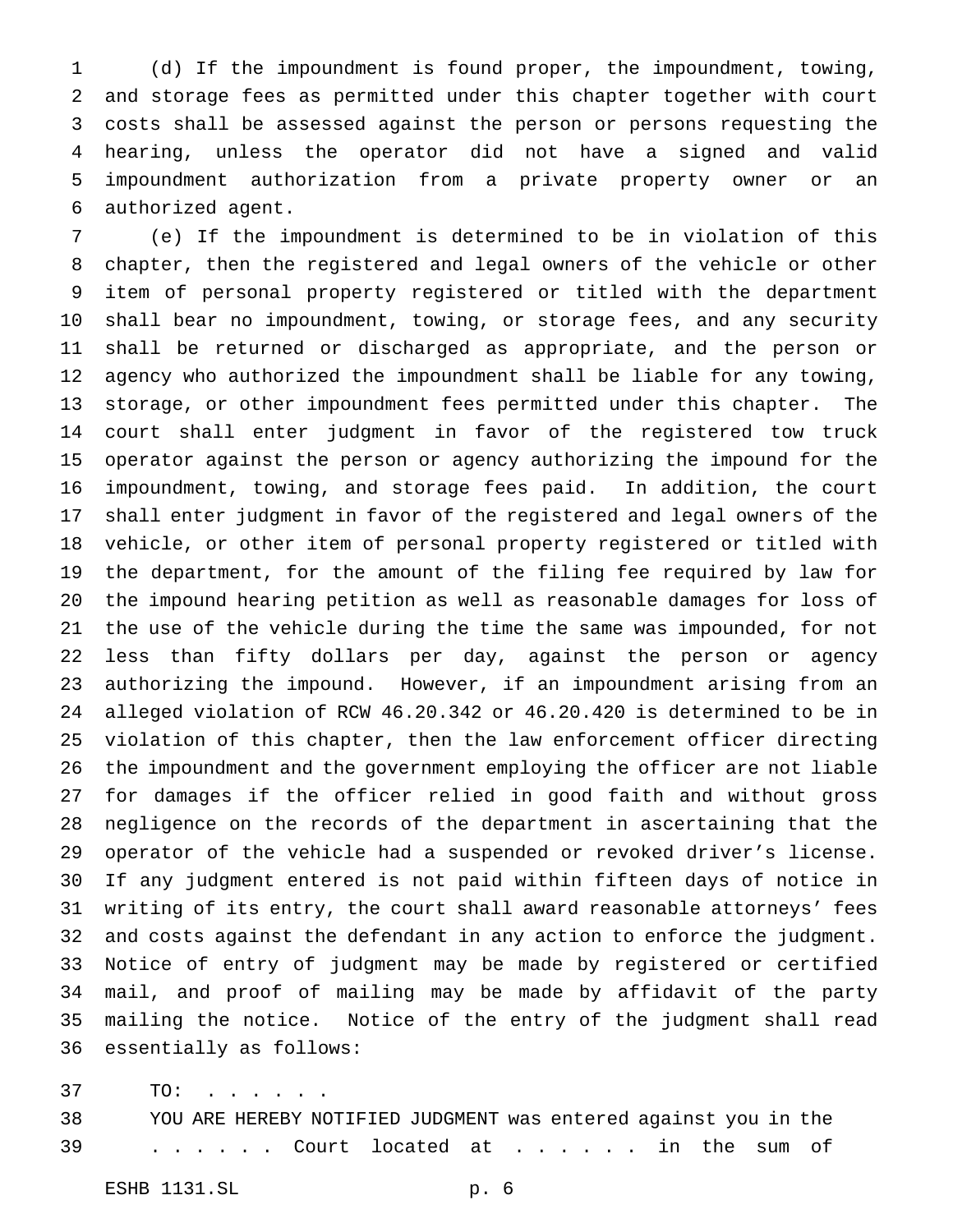(d) If the impoundment is found proper, the impoundment, towing, and storage fees as permitted under this chapter together with court costs shall be assessed against the person or persons requesting the hearing, unless the operator did not have a signed and valid impoundment authorization from a private property owner or an authorized agent.

 (e) If the impoundment is determined to be in violation of this chapter, then the registered and legal owners of the vehicle or other item of personal property registered or titled with the department shall bear no impoundment, towing, or storage fees, and any security shall be returned or discharged as appropriate, and the person or agency who authorized the impoundment shall be liable for any towing, storage, or other impoundment fees permitted under this chapter. The court shall enter judgment in favor of the registered tow truck operator against the person or agency authorizing the impound for the impoundment, towing, and storage fees paid. In addition, the court shall enter judgment in favor of the registered and legal owners of the vehicle, or other item of personal property registered or titled with the department, for the amount of the filing fee required by law for the impound hearing petition as well as reasonable damages for loss of the use of the vehicle during the time the same was impounded, for not less than fifty dollars per day, against the person or agency authorizing the impound. However, if an impoundment arising from an alleged violation of RCW 46.20.342 or 46.20.420 is determined to be in violation of this chapter, then the law enforcement officer directing the impoundment and the government employing the officer are not liable for damages if the officer relied in good faith and without gross negligence on the records of the department in ascertaining that the operator of the vehicle had a suspended or revoked driver's license. If any judgment entered is not paid within fifteen days of notice in writing of its entry, the court shall award reasonable attorneys' fees and costs against the defendant in any action to enforce the judgment. Notice of entry of judgment may be made by registered or certified mail, and proof of mailing may be made by affidavit of the party mailing the notice. Notice of the entry of the judgment shall read essentially as follows:

37 TO: . . . . . .

 YOU ARE HEREBY NOTIFIED JUDGMENT was entered against you in the ...... Court located at . . . . . . in the sum of